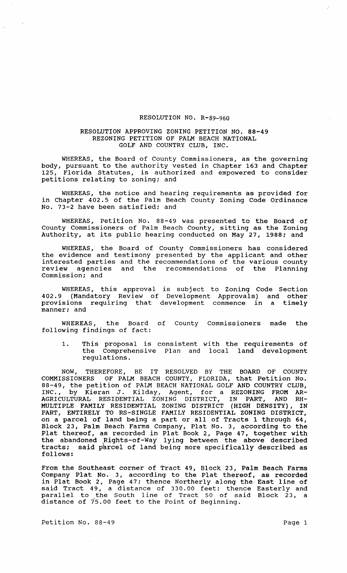## RESOLUTION NO. R-89-960

## RESOLUTION APPROVING ZONING PETITION NO. 88-49 REZONING PETITION OF PALM BEACH NATIONAL GOLF AND COUNTRY CLUB, INC.

WHEREAS, the Board of County Commissioners, as the governing body, pursuant to the authority vested in Chapter 163 and Chapter 125, Florida Statutes, is authorized and empowered to consider petitions relating to zoning; and

WHEREAS, the notice and hearing requirements as provided for in Chapter 402.5 of the Palm Beach County Zoning Code Ordinance No. 73-2 have been satisfied; and

WHEREAS, Petition No. 88-49 was presented to the Board of County Commissioners of Palm Beach County, sitting as the Zoning Authority, at its public hearing conducted on May 27, 1988; and

WHEREAS, the Board of County Commissioners has considered the evidence and testimony presented by the applicant and other interested parties and the recommendations of the various county review agencies and the recommendations of the Planning Commission; and

WHEREAS, this approval is subject to Zoning Code Section 402.9 (Mandatory Review of Development Approvals) and other provisions requiring that development commence in a timely manner; and

WHEREAS, the Board of County Commissioners made the following findings of fact:

1. This proposal is consistent with the requirements of the Comprehensive Plan and local land development regulations.

NOW, THEREFORE, BE IT RESOLVED BY THE BOARD OF COUNTY COMMISSIONERS OF PALM BEACH COUNTY, FLORIDA, that Petition No. 88-49, the petition of PALM BEACH NATIONAL GOLF AND COUNTRY CLUB, INC., by Kieran J. Kilday, Agent, for a REZONING FROM AR-AGRICULTURAL RESIDENTIAL ZONING DISTRICT, IN PART, MULTIPLE FAMILY RESIDENTIAL ZONING DISTRICT (HIGH DENSITY), IN PART, ENTIRELY TO RS-SINGLE FAMILY RESIDENTIAL ZONING DISTRICT, on a parcel of land being a part or all of Tracts 1 through 64, Block 23, Palm Beach Farms Company, Plat No.3, according to the Plat thereof, as recorded in Plat Book 2, Page 47, together with the abandoned Rights-of-Way lying between the above described tracts; said parcel of land being more specifically described as follows:

From the Southeast corner of Tract 49, Block 23, Palm Beach Farms Company Plat No.3, according to the Plat thereof, as recorded in Plat Book 2, Page 47; thence Northerly along the East line of said Tract 49, a distance of 330.00 feet: thence Easterly and parallel to the South line of Tract 50 of said Block 23, a distance of *i5.00* feet to the Point of Beginning.

Petition No. 88-49 Page 1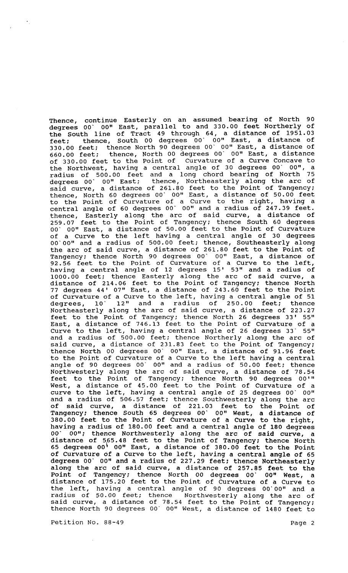Thence, continue Easterly on an assumed bearing of North 90 degrees 00' DO" East, parallel to and 330.00 feet Northerly of the South line of Tract 49 through 64, a distance of 1951.03 feet; thence, South 00 degrees 00' 00" East, a distance of 330.00 feet; thence North 90 degrees 00' DO" East, a distance of 660.00 feet; thence, North 00 degrees 00' DO" East, a distance of 330.00 feet to the Point of Curvature of a Curve Concave to the Northwest, having a central angle of 30 degrees 00' 00", a radius of 500.00 feet and a long chord bearing of North 75 degrees 00' DO" East; thence, Northeasterly along the arc of said curve, a distance of 261.80 feet to the Point of Tangency; thence, North 60 degrees 00' 00" East, a distance of 50.00 feet to the point of Curvature of a Curve to the right, having a central angle of 60 degrees 00' 00" and a radius of 247.39 feet. thence, Easterly along the arc of said curve, a distance of 259.07 feet to the Point of Tangency; thence South 60 degrees 00' 00" East, a distance of 50.00 feet to the Point of Curvature of a Curve to the left having a central angle of 30 degrees 00'00" and a radius of 500.00 feet; thence, Southeasterly along the arc of said curve, a distance of 261.80 feet to the Point of Tangency; thence North 90 degrees 00' 00" East, a distance of 92.56 feet to the Point of Curvature of a Curve to the left, having a central angle of 12 degrees 15' 53" and a radius of 1000.00 feet; thence Easterly along the arc of said curve, a distance of 214.06 feet to the Point of Tangency; thence North 77 degrees 44' 07" East, a distance of 243.60 feet to the Point of Curvature of a Curve to the left, having a central angle of 51 degrees, 10' 12" and a radius of 250.00 feet; thence Northeasterly along the arc of said curve, a distance of 223.27 feet to the Point of Tangency; thence North 26 degrees 33' 55" East, a distance of 746.13 feet to the Point of Curvature of a East, a distance of 740.15 feet to the formt of carvacure of a and a radius of 500.00 feet; thence Northerly along the arc of said curve, a distance of 231.83 feet to the Point of Tangency; thence North 00 degrees 00' 00" East, a distance of 91.96 feet to the Point of Curvature of a Curve to the left having a central angle of 90 degrees 00' 00" and a radius of 50.00 feet; thence Northwesterly along the arc of said curve, a distance of 78.54 feet to the Point of Tangency; thence North 90 degrees 00'" West, a distance of 45.00 feet to the Point of Curvature of a mese, a distance of 45.00 feed to the forme of carvacure of a and a radius of 506.57 feet; thence Southwesterly along the arc of said curve, a distance of 221.03 feet to the Point of Tangency; thence South 65 degrees 00' 00" West, a distance of 380.00 feet to the Point of Curvature of a Curve to the right, having a radius of 180.00 feet and a central angle of 180 degrees 00' 00"; thence Northwesterly along the arc of said curve, a distance of 565.48 feet to the Point of Tangency; thence North degrees 00<sup>1</sup> 00" East, a distance of 380.00 feet to the Point of Curvature df a Curve to the left, having a central angle of 65 degrees 00' 00" and a radius of 227.29 feet; thence Northeasterly along the arc of said curve, a distance of 257.85 feet to the Point of Tangency; thence North 00 degrees 00' 00" West, a distance of 175.20 feet to the Point of Curvature of a Curve to arbeance of 179.20 feed to the foind of carvacare of a curve to<br>the left, having a central angle of 90 degrees 00'00" and a radius of 50.00 feet; thence Northwesterly along the arc of said curve, a distance of 78.54 feet to the Point of Tangency; thence North 90 degrees DO' 00" West, a distance of 1480 feet to

Petition No. 88-49 Page 2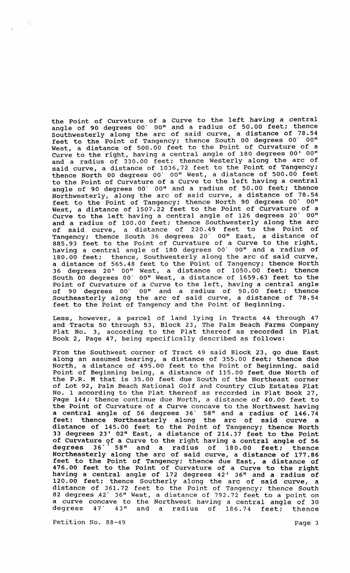the Point of Curvature of a Curve to the left having a central angle of 90 degrees 00' 00" and a radius of 50.00 feet; thence Southwesterly along the arc of said curve, a distance of 78.54 feet to the Point of Tangency: thence South 00 degrees 00' 00" West, a distance of 500.00 feet to the Point of Curvature of a Curve to the right, having a central angle of 180 degrees 00' 00" and a radius of 330.00 feet: thence Westerly along the arc of said curve, a distance of 1036,72 feet to the Point of Tangency: thence North 00 degrees 00' 00" West, a distance of 500.00 feet to the Point of Curvature of a Curve to the left having a central angle of 90 degrees 00' 00" and a radius of 50.00 feet: thence Northwesterly, along the arc of said curve, a distance of 78.54 feet to the Point of Tangency: thence North 90 degrees 00' 00" West, a distance of 1507.22 feet to the Point of Curvature of a Curve to the left having a central angle of 126 degrees 20' 00" and a radius of 100.00 feet: thence southwesterly along the arc of said curve, a distance of 220.49 feet to the Point of Tangency: thence South 36 degrees 20' 00" East, a distance of rangency, energe beach so acqueed it. There, in the right, having a central angle of 180 degrees 00' 00" and a radius of 180.00 feet: thence, Southwesterly along the arc of said curve, a distance of 565.48 feet to the Point of Tangency: thence North 36 degrees 20' 00" West, a distance of 1050.00 feet: thence South 00 degrees 00' 00" West, a distance of 1659.63 feet to the *Point* of Curvature of a Curve to the left, having a central angle of 90 degrees 00' 00" and a radius of 50.00 feet: thence Southeasterly along the arc of said curve, a distance of 78.54 feet to the Point of Tangency and the Point of Beginning.

Less, however, a parcel of land lying in Tracts 44 through 47 and Tracts 50 through 53, Block 23, The Palm Beach Farms Company and fracts so through ss, sitch 2s, the runk beach further company<br>Plat No. 3, according to the Plat thereof as recorded in Plat Book 2, Page 47, being specifically described as follows:

From the Southwest corner of Tract 49 said Block 23, go due East along an assumed bearing, a distance of 355.00 feet: thence due North, a distance of 495.00 feet to the Point of Beginning. said Point of Beginning being, a distance of 115.00 feet due North of the P.R. M that is 35.00 feet due South of the Northeast corner of Lot 92, Palm Beach National Golf and Country Club Estates Plat No.1 according to the Plat thereof as recorded *in* Plat Book 27, Page 144; thence continue due North, a distance of 40.00 feet to the Point of Curvature of a Curve concave to the Northwest having a central angle of 56 degrees 36' 58" and a radius of 146.74 feet: thence Northeasterly along the arc of said curve a distance of 145.00 feet to the Point of Tangency; thence North 33 degrees 23' 02" East, a distance of 214.37 feet to the Point of Curvature of a Curve to the right having a central angle of 56<br>degrees 36' 58" and a radius of 180.00 feet: thence degrees 36' 58" and a radius of 180.00 feet; thence Northeasterly along the arc of said curve, a distance of 177.86 feet to the Point of Tangency: thence due East, a distance of 476.00 feet to the Point of Curvature of a Curve to the right having a central angle of 172 degrees 42' 36" and a radius of 120.00 feet: thence Southerly along the arc of said curve, a distance of 361. 72 feet to the Point of Tangency: thence South 82 degrees 42' 36" West, a distance of 792.72 feet to a point on a curve concave to the Northwest having a central angle of 30 degrees 47" 43" and a radius of 186.74 feet: thence

Petition No. 88-49 Page 3

 $\gamma_{\rm s}$